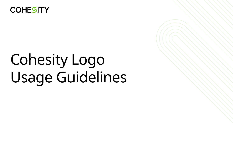

# Cohesity Logo Usage Guidelines

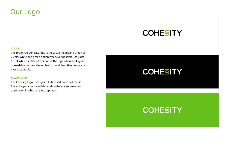### Our Logo

#### **COLOR**

The preferred Cohesity logo is the 2-color black and green or 2-color white and green option whenever possible. Only use the all white or all black version of the logo when the logo is unreadable on the selected background. No other colors are ever acceptable.

#### **READABILITY**

The Cohesity logo is designed to be used across all media. The color you choose will depend on the environment and application in which the logo appears.

### **COHESITY**

## **COHESITY**





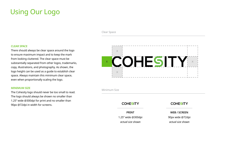### Using Our Logo

#### **CLEAR SPACE**

There should always be clear space around the logo to ensure maximum impact and to keep the mark from looking cluttered. The clear space must be substantially separated from other logos, trademarks, copy, illustrations, and photography. As shown, the logo height can be used as a guide to establish clear space. Always maintain this minimum clear space, even when proportionally scaling the logo.

| Minimum Size       |     |
|--------------------|-----|
| <b>COHESITY</b>    |     |
| <b>PRINT</b>       | W   |
| 1.25" wide @300dpi | 90p |
| actual size shown  | act |

### COHESITY

#### **MINIMUM SIZE**

The Cohesity logo should never be too small to read. The logo should always be shown no smaller than 1.25" wide @300dpi for print and no smaller than 90px @72dpi in width for screens.



Clear Space

#### **WEB / SCREEN**

ox wide @72dpi

*actual size shown actual size shown*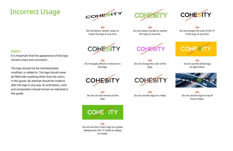### Incorrect Usage





#### **DONT'S**

It is important that the appearance of the logo remains intact and consistent.

The logo should not be misinterpreted, modified, or added to. The logo should never be filled with anything other than the colors in this guide. No attempt should be made to alter the logo in any way. Its orientation, color and composition should remain as indicated in this guide.



**NO** Do not distort, stretch, warp, or rotate the logo at any time.



**NO** Do not apply effects or textures to the logo.



**NO** Do not use old versions of the logo.



**NO** Do not create a stroke or outline the logo at any time.

#### **NO**

Do not change the color of the "S" in the logo at any time.



**NO** Do not change the color of the logo.



#### **NO**

Do not use the white logo on light colors.



**NO** Do not use the 2-color logo on a green background, the "S" needs to always be visible.



**NO** Do not use the logo as a mask.

**NO** Do not use the logo on top of busy images.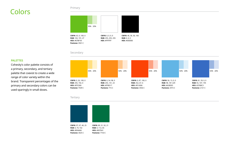### Colors

#### **PALETTES**

Cohesity's color palette consists of a primary, secondary, and tertiary palette that coexist to create a wide range of color variety within the brand. Transparent percentages of the primary and secondary colors can be used sparingly in small doses.





#### **Tertiary**



#### Primary

#### Secondary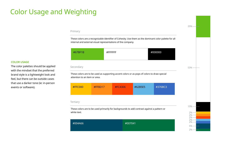## Color Usage and Weighting

#### **COLOR USAGE**

The color palettes should be applied with the mindset that the preferred brand style is a lightweight look and feel, but there can be outside cases that use a darker tone (ie: in-person events or software).

These colors are a recognizable identifier of Cohesity. Use them as the dominant color palette for all internal and external visual representations of the company.

These colors are to be used as supporting accent colors or as pops of colors to draw special attention to an item or area.

These colors are to be used primarily for backgrounds to add contrast against a pattern or white text.

| #004A66 | #007041 |
|---------|---------|
|         |         |

| #376BC3<br>#62B5E5<br>#FFC000<br>#FC4306<br>$\#FF8D17$ |
|--------------------------------------------------------|
|--------------------------------------------------------|

| #FFFFFFF<br>#000000<br>#67BF1B |  |
|--------------------------------|--|
|--------------------------------|--|



#### Primary

#### Secondary

#### Tertiary